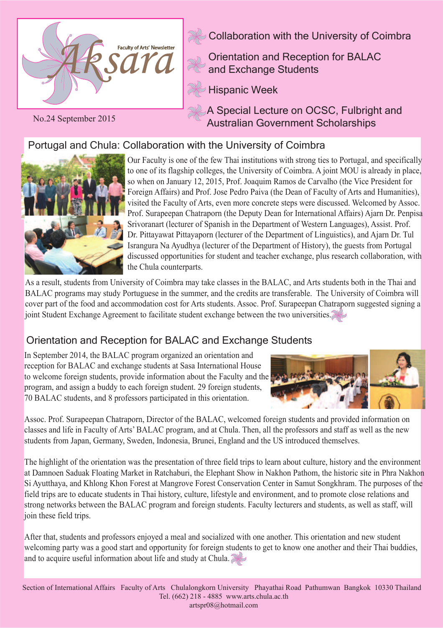

No.24 September 2015

Collaboration with the University of Coimbra

Orientation and Reception for BALAC and Exchange Students

Hispanic Week

A Special Lecture on OCSC, Fulbright and Australian Government Scholarships

# Portugal and Chula: Collaboration with the University of Coimbra



Our Faculty is one of the few Thai institutions with strong ties to Portugal, and specifically to one of its flagship colleges, the University of Coimbra. A joint MOU is already in place, so when on January 12, 2015, Prof. Joaquim Ramos de Carvalho (the Vice President for Foreign Affairs) and Prof. Jose Pedro Paiva (the Dean of Faculty of Arts and Humanities), visited the Faculty of Arts, even more concrete steps were discussed. Welcomed by Assoc. Prof. Surapeepan Chatraporn (the Deputy Dean for International Affairs) Ajarn Dr. Penpisa Srivoranart (lecturer of Spanish in the Department of Western Languages), Assist. Prof. Dr. Pittayawat Pittayaporn (lecturer of the Department of Linguistics), and Ajarn Dr. Tul Israngura Na Ayudhya (lecturer of the Department of History), the guests from Portugal discussed opportunities for student and teacher exchange, plus research collaboration, with the Chula counterparts.

As a result, students from University of Coimbra may take classes in the BALAC, and Arts students both in the Thai and BALAC programs may study Portuguese in the summer, and the credits are transferable. The University of Coimbra will cover part of the food and accommodation cost for Arts students. Assoc. Prof. Surapeepan Chatraporn suggested signing a joint Student Exchange Agreement to facilitate student exchange between the two universities.

## Orientation and Reception for BALAC and Exchange Students

In September 2014, the BALAC program organized an orientation and reception for BALAC and exchange students at Sasa International House to welcome foreign students, provide information about the Faculty and the program, and assign a buddy to each foreign student. 29 foreign students, 70 BALAC students, and 8 professors participated in this orientation.



Assoc. Prof. Surapeepan Chatraporn, Director of the BALAC, welcomed foreign students and provided information on classes and life in Faculty of Arts' BALAC program, and at Chula. Then, all the professors and staff as well as the new students from Japan, Germany, Sweden, Indonesia, Brunei, England and the US introduced themselves.

The highlight of the orientation was the presentation of three field trips to learn about culture, history and the environment at Damnoen Saduak Floating Market in Ratchaburi, the Elephant Show in Nakhon Pathom, the historic site in Phra Nakhon Si Ayutthaya, and Khlong Khon Forest at Mangrove Forest Conservation Center in Samut Songkhram. The purposes of the field trips are to educate students in Thai history, culture, lifestyle and environment, and to promote close relations and strong networks between the BALAC program and foreign students. Faculty lecturers and students, as well as staff, will join these field trips.

After that, students and professors enjoyed a meal and socialized with one another. This orientation and new student welcoming party was a good start and opportunity for foreign students to get to know one another and their Thai buddies, and to acquire useful information about life and study at Chula.

Section of International Affairs Faculty of Arts Chulalongkorn University Phayathai Road Pathumwan Bangkok 10330 Thailand Tel. (662) 218 - 4885 www.arts.chula.ac.th artspr08@hotmail.com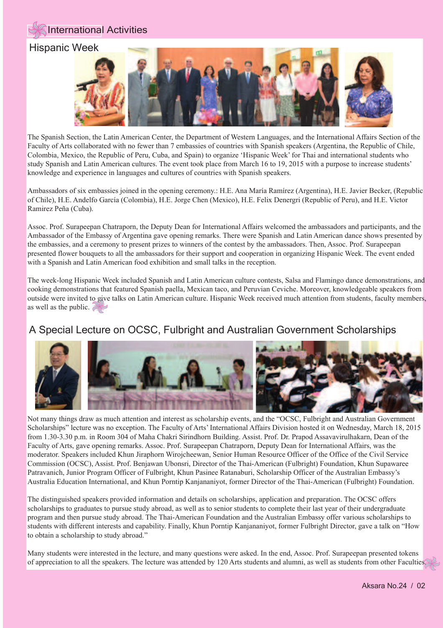

The Spanish Section, the Latin American Center, the Department of Western Languages, and the International Affairs Section of the Faculty of Arts collaborated with no fewer than 7 embassies of countries with Spanish speakers (Argentina, the Republic of Chile, Colombia, Mexico, the Republic of Peru, Cuba, and Spain) to organize 'Hispanic Week' for Thai and international students who study Spanish and Latin American cultures. The event took place from March 16 to 19, 2015 with a purpose to increase students' knowledge and experience in languages and cultures of countries with Spanish speakers.

Ambassadors of six embassies joined in the opening ceremony.: H.E. Ana María Ramírez (Argentina), H.E. Javier Becker, (Republic of Chile), H.E. Andelfo García (Colombia), H.E. Jorge Chen (Mexico), H.E. Felix Denergri (Republic of Peru), and H.E. Victor Ramirez Peña (Cuba).

Assoc. Prof. Surapeepan Chatraporn, the Deputy Dean for International Affairs welcomed the ambassadors and participants, and the Ambassador of the Embassy of Argentina gave opening remarks. There were Spanish and Latin American dance shows presented by the embassies, and a ceremony to present prizes to winners of the contest by the ambassadors. Then, Assoc. Prof. Surapeepan presented flower bouquets to all the ambassadors for their support and cooperation in organizing Hispanic Week. The event ended with a Spanish and Latin American food exhibition and small talks in the reception.

The week-long Hispanic Week included Spanish and Latin American culture contests, Salsa and Flamingo dance demonstrations, and cooking demonstrations that featured Spanish paella, Mexican taco, and Peruvian Ceviche. Moreover, knowledgeable speakers from outside were invited to give talks on Latin American culture. Hispanic Week received much attention from students, faculty members, as well as the public.  $\geq$ 

## A Special Lecture on OCSC, Fulbright and Australian Government Scholarships



Not many things draw as much attention and interest as scholarship events, and the "OCSC, Fulbright and Australian Government Scholarships" lecture was no exception. The Faculty of Arts' International Affairs Division hosted it on Wednesday, March 18, 2015 from 1.30-3.30 p.m. in Room 304 of Maha Chakri Sirindhorn Building. Assist. Prof. Dr. Prapod Assavavirulhakarn, Dean of the Faculty of Arts, gave opening remarks. Assoc. Prof. Surapeepan Chatraporn, Deputy Dean for International Affairs, was the moderator. Speakers included Khun Jiraphorn Wirojcheewan, Senior Human Resource Officer of the Office of the Civil Service Commission (OCSC), Assist. Prof. Benjawan Ubonsri, Director of the Thai-American (Fulbright) Foundation, Khun Supawaree Patravanich, Junior Program Officer of Fulbright, Khun Pasinee Ratanaburi, Scholarship Officer of the Australian Embassy's Australia Education International, and Khun Porntip Kanjananiyot, former Director of the Thai-American (Fulbright) Foundation.

 The distinguished speakers provided information and details on scholarships, application and preparation. The OCSC offers scholarships to graduates to pursue study abroad, as well as to senior students to complete their last year of their undergraduate program and then pursue study abroad. The Thai-American Foundation and the Australian Embassy offer various scholarships to students with different interests and capability. Finally, Khun Porntip Kanjananiyot, former Fulbright Director, gave a talk on "How to obtain a scholarship to study abroad."

of appreciation to all the speakers. The lecture was attended by 120 Arts students and alumni, as well as students from other Faculties. Many students were interested in the lecture, and many questions were asked. In the end, Assoc. Prof. Surapeepan presented tokens